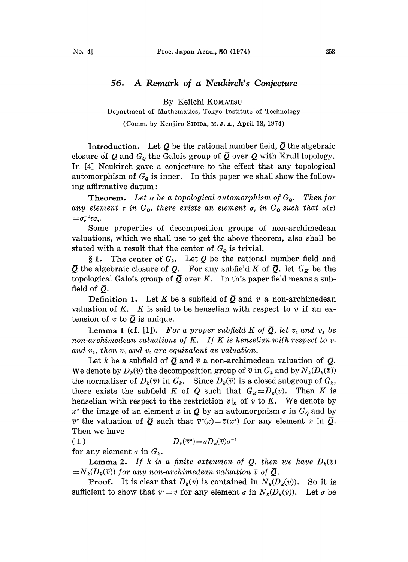## 56. A Remark of <sup>a</sup> Neukirch's Conjecture

By Keiichi KOMATSU

Department of Mathematics, Tokyo Institute of Technology

(Comm. by Kenjiro SHODA, M. J. A., April 18, 1974)

Introduction. Let Q be the rational number field,  $\overline{Q}$  the algebraic closure of Q and  $G<sub>o</sub>$  the Galois group of  $\overline{Q}$  over Q with Krull topology. In [4] Neukirch gave a conjecture to the effect that any topological automorphism of  $G_{\mathbf{q}}$  is inner. In this paper we shall show the following affirmative datum:

**Theorem.** Let  $\alpha$  be a topological automorphism of  $G_{\boldsymbol{q}}$ . Then for any element  $\tau$  in  $G_{\mathbf{Q}}$ , there exists an element  $\sigma_{\tau}$  in  $G_{\mathbf{Q}}$  such that  $\alpha(\tau)$ <br>= $\sigma_{\tau}^{-1}\tau\sigma_{\tau}$ .

Some properties of decomposition groups of non-archimedean valuations, which we shall use to get the above theorem, also shall be stated with a result that the center of  $G<sub>o</sub>$  is trivial.

§ 1. The center of  $G_k$ . Let  $Q$  be the rational number field and  $\overline{Q}$  the algebraic closure of  $Q$ . For any subfield K of  $\overline{Q}$ , let  $G_K$  be the topological Galois group of  $\overline{Q}$  over K. In this paper field means a subfield of  $\overline{Q}$ .

Definition 1. Let  $K$  be a subfield of  $\bar{\mathcal{Q}}$  and  $\it{v}$  a non-archimedean valuation of K. K is said to be henselian with respect to  $v$  if an extension of  $v$  to  $\overline{Q}$  is unique.

**Lemma 1** (cf. [1]). For a proper subfield K of  $\overline{Q}$ , let  $v_1$  and  $v_2$  be non-archimedean valuations of K. If K is henselian with respect to  $v_1$ and  $v<sub>2</sub>$ , then  $v<sub>1</sub>$  and  $v<sub>2</sub>$  are equivalent as valuation.

We denote by  $D_k(\overline{v})$  the decomposition group of  $\overline{v}$  in  $G_k$  and by  $N_k(D_k(\overline{v}))$ Let *k* be a subfield of  $\overline{Q}$  and  $\overline{v}$  a non-archimedean valuation of  $\overline{Q}$ . the normalizer of  $D_k(\overline{v})$  in  $G_k$ . Since  $D_k(\overline{v})$  is a closed subgroup of  $G_k$ , there exists the subfield K of  $\overline{Q}$  such that  $G_K = D_k(\overline{v})$ . Then K is henselian with respect to the restriction  $\overline{v}|_K$  of  $\overline{v}$  to K. We denote by  $x^r$  the image of an element x in  $\overline{Q}$  by an automorphism  $\sigma$  in  $G_0$  and by  $\overline{v}$  the valuation of  $\overline{Q}$  such that  $\overline{v}$  (x) =  $\overline{v}(x)$  for any element x in  $\overline{Q}$ . Then we have

 $(1)$  $D_k(\overline{v}^{\sigma})=\sigma D_k(\overline{v})\sigma^{-1}$ 

for any element  $\sigma$  in  $G_k$ .

**Lemma 2.** If k is a finite extension of **Q**, then we have  $D_k(\overline{v})$  $=N_k(D_k(\overline{v}))$  for any non-archimedean valuation  $\overline{v}$  of  $\overline{\mathcal{Q}}.$ 

**Proof.** It is clear that  $D_k(\overline{v})$  is contained in  $N_k(D_k(\overline{v}))$ . So it is sufficient to show that  $\bar{v} = \bar{v}$  for any element  $\sigma$  in  $N_k(D_k(\bar{v}))$ . Let  $\sigma$  be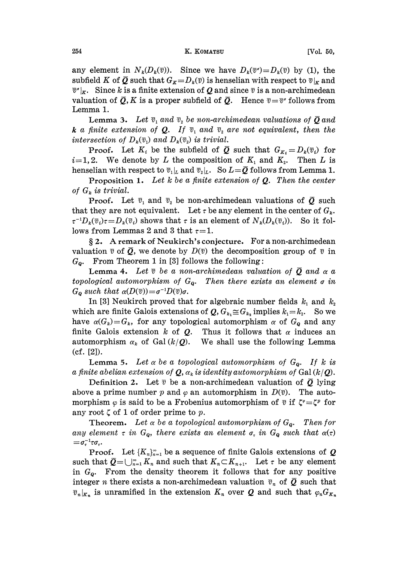any element in  $N_k(D_k(\overline{v}))$ . Since we have  $D_k(\overline{v})=D_k(\overline{v})$  by (1), the subfield K of  $\overline{Q}$  such that  $G_K=D_k(\overline{v})$  is henselian with respect to  $\overline{v}|_K$  and  $\overline{v}_k$ . Since k is a finite extension of Q and since  $\overline{v}$  is a non-archimedean valuation of  $\overline{Q}$ , K is a proper subfield of  $\overline{Q}$ . Hence  $\overline{v} = \overline{v}$  follows from Lemma 1.

**Lemma 3.** Let  $\overline{v}_1$  and  $\overline{v}_2$  be non-archimedean valuations of  $\overline{Q}$  and **k** a finite extension of **Q**. If  $\overline{v}_1$  and  $\overline{v}_2$  are not equivalent, then the intersection of  $D_k(\overline{v}_1)$  and  $D_k(\overline{v}_2)$  is trivial.

**Proof.** Let  $K_i$  be the subfield of  $\overline{Q}$  such that  $G_{K_i} = D_k(\overline{v}_i)$  for  $i=1,2$ . We denote by L the composition of  $K_1$  and  $K_2$ . Then L is henselian with respect to  $\overline{v}_1|_L$  and  $\overline{v}_2|_L$ . So  $L=\overline{Q}$  follows from Lemma 1.

**Proposition 1.** Let k be a finite extension of  $Q$ . Then the center of  $G_k$  is trivial.

**Proof.** Let  $\bar{v}_1$  and  $\bar{v}_2$  be non-archimedean valuations of  $\bar{Q}$  such that they are not equivalent. Let  $\tau$  be any element in the center of  $G_k$ .  $\tau^{-1}D_k(\overline{v}_i)\tau=D_k(\overline{v}_i)$  shows that  $\tau$  is an element of  $N_k(D_k(\overline{v}_i))$ . So it follows from Lemmas 2 and 3 that  $\tau = 1$ .

2. A remark of Neukirch's conjecture. For <sup>a</sup> non-archimedean valuation  $\bar{v}$  of  $\bar{Q}$ , we denote by  $D(\bar{v})$  the decomposition group of  $\bar{v}$  in  $G_{\mathbf{0}}$ . From Theorem 1 in [3] follows the following:

**Lemma 4.** Let  $\bar{v}$  be a non-archimedean valuation of  $\bar{O}$  and  $\alpha$  a topological automorphism of  $G_{\mathbf{Q}}$ . Then there exists an element  $\sigma$  in  $G_{\mathbf{Q}}$  such that  $\alpha(D(\overline{v}))=\sigma^{-1}D(\overline{v})\sigma$ .

In [3] Neukirch proved that for algebraic number fields  $k_1$  and  $k_2$ which are finite Galois extensions of  $Q, G_{k_1} \cong G_{k_2}$  implies  $k_1 = k_2$ . So we have  $\alpha(G_k)=G_k$ , for any topological automorphism  $\alpha$  of  $G_{\mathbf{Q}}$  and any finite Galois extension k of  $Q$ . Thus it follows that  $\alpha$  induces an automorphism  $\alpha_k$  of Gal  $(k/Q)$ . We shall use the following Lemma  $(cf. [2]).$ 

**Lemma 5.** Let  $\alpha$  be a topological automorphism of  $G_{\alpha}$ . If k is a finite abelian extension of  $Q$ ,  $\alpha_k$  is identity automorphism of Gal (k/ $Q$ ).

Definition 2. Let  $\bar{v}$  be a non-archimedean valuation of  $\bar{Q}$  lying above a prime number p and  $\varphi$  an automorphism in  $D(\overline{v})$ . The automorphism  $\varphi$  is said to be a Frobenius automorphism of  $\bar{v}$  if  $\zeta^{\varphi}=\zeta^{\varphi}$  for any root  $\zeta$  of 1 of order prime to p.

Theorem. Let  $\alpha$  be a topological automorphism of  $G_{\boldsymbol{\theta}}$ . Then for any element  $\tau$  in  $G_{\mathbf{Q}}$ , there exists an element  $\sigma_{\tau}$  in  $G_{\mathbf{Q}}$  such that  $\alpha(\tau)$  $=\sigma_{\tau}^{-1}\tau\sigma_{\tau}.$ 

**Proof.** Let  $\{K_n\}_{n=1}^{\infty}$  be a sequence of finite Galois extensions of Q such that  $\overline{Q}=\bigcup_{n=1}^{\infty}K_n$  and such that  $K_n\subset K_{n+1}$ . Let  $\tau$  be any element in  $G_{\mathbf{Q}}$ . From the density theorem it follows that for any positive integer *n* there exists a non-archimedean valuation  $\overline{v}_n$  of  $\overline{Q}$  such that  $\overline{v}_n|_{K_n}$  is unramified in the extension  $K_n$  over Q and such that  $\varphi_n G_{K_n}$